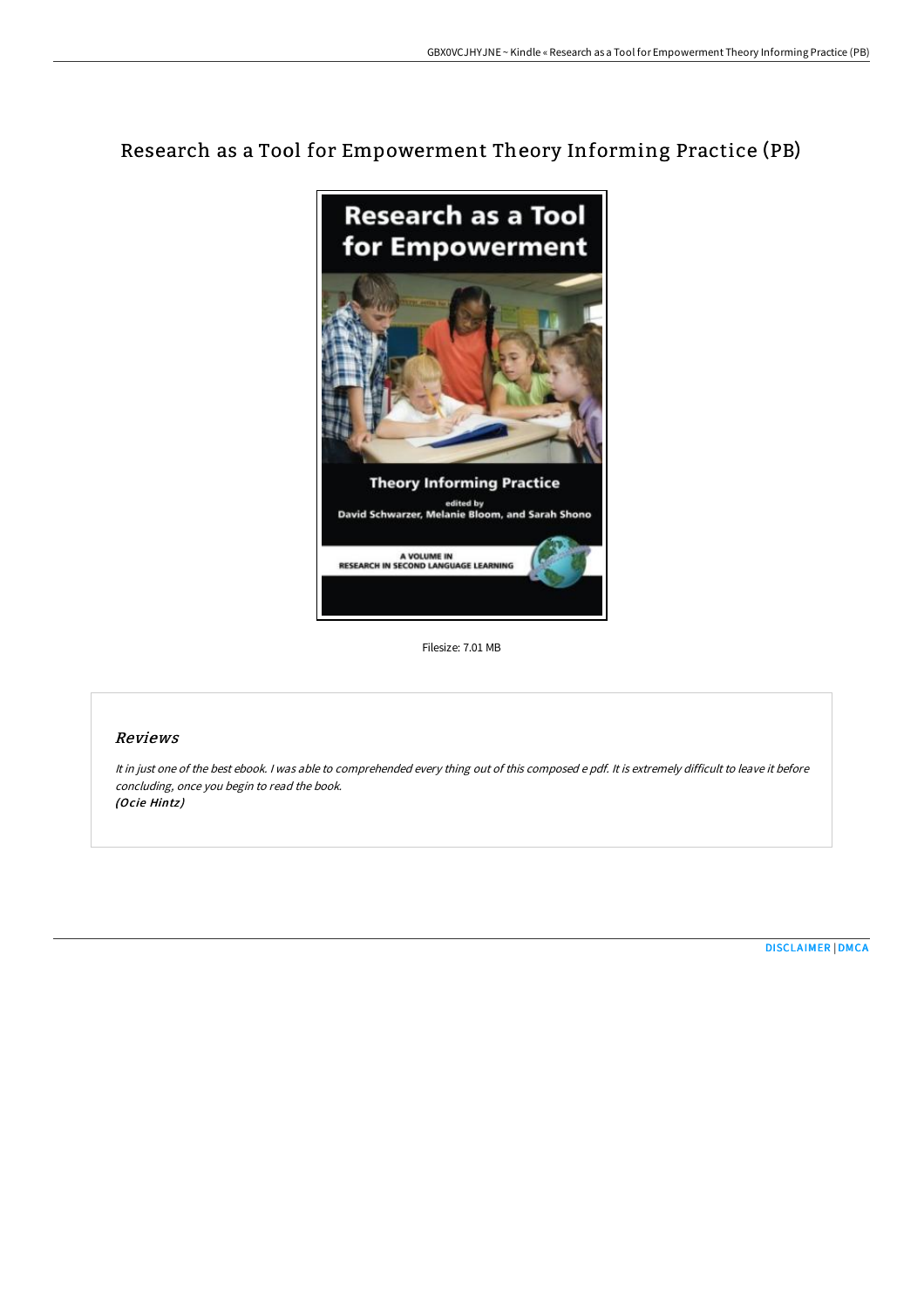# Research as a Tool for Empowerment Theory Informing Practice (PB)



Filesize: 7.01 MB

## Reviews

It in just one of the best ebook. <sup>I</sup> was able to comprehended every thing out of this composed <sup>e</sup> pdf. It is extremely difficult to leave it before concluding, once you begin to read the book. (Ocie Hintz)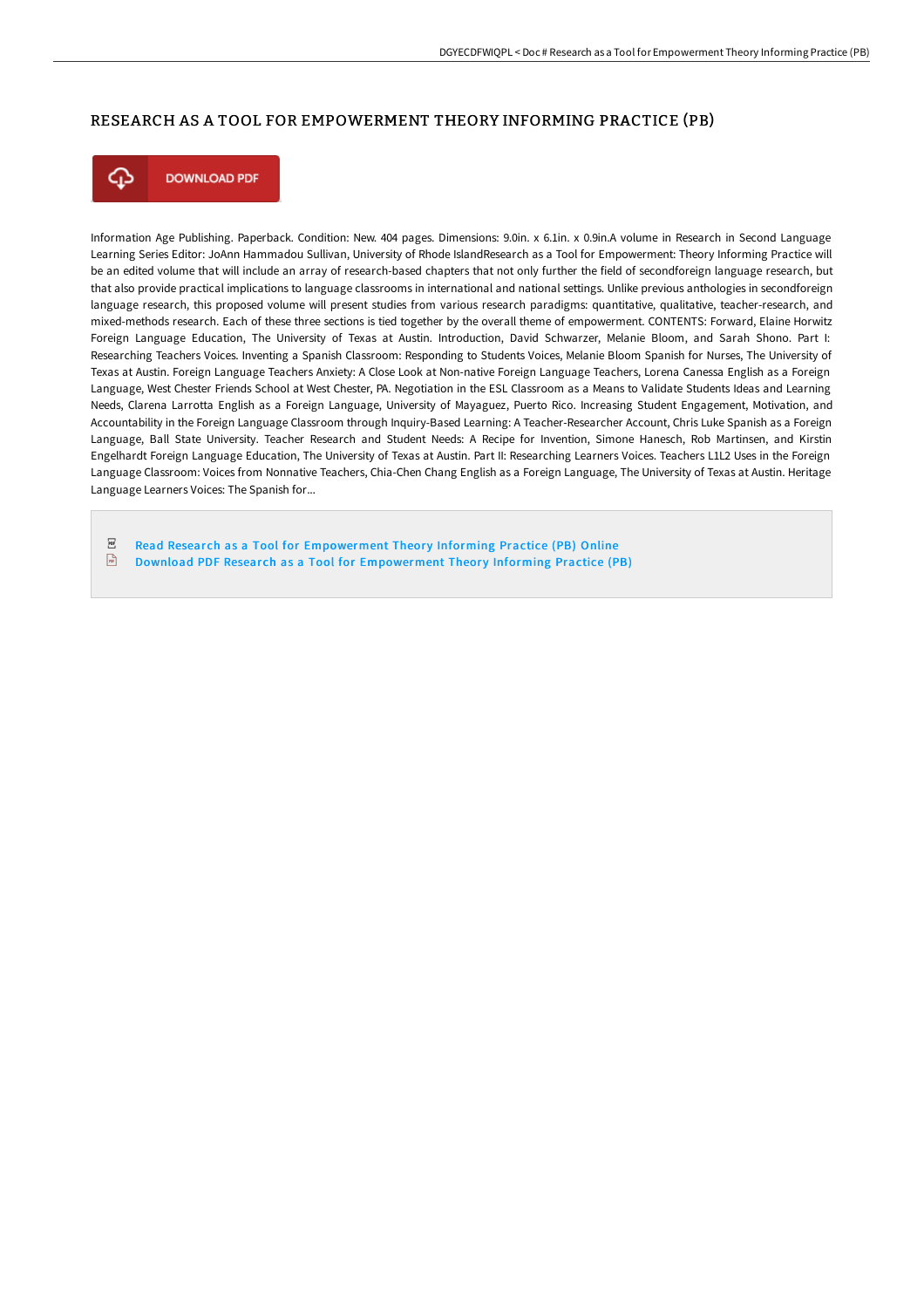## RESEARCH AS A TOOL FOR EMPOWERMENT THEORY INFORMING PRACTICE (PB)



**DOWNLOAD PDF** 

Information Age Publishing. Paperback. Condition: New. 404 pages. Dimensions: 9.0in. x 6.1in. x 0.9in.A volume in Research in Second Language Learning Series Editor: JoAnn Hammadou Sullivan, University of Rhode IslandResearch as a Tool for Empowerment: Theory Informing Practice will be an edited volume that will include an array of research-based chapters that not only further the field of secondforeign language research, but that also provide practical implications to language classrooms in international and national settings. Unlike previous anthologies in secondforeign language research, this proposed volume will present studies from various research paradigms: quantitative, qualitative, teacher-research, and mixed-methods research. Each of these three sections is tied together by the overall theme of empowerment. CONTENTS: Forward, Elaine Horwitz Foreign Language Education, The University of Texas at Austin. Introduction, David Schwarzer, Melanie Bloom, and Sarah Shono. Part I: Researching Teachers Voices. Inventing a Spanish Classroom: Responding to Students Voices, Melanie Bloom Spanish for Nurses, The University of Texas at Austin. Foreign Language Teachers Anxiety: A Close Look at Non-native Foreign Language Teachers, Lorena Canessa English as a Foreign Language, West Chester Friends School at West Chester, PA. Negotiation in the ESL Classroom as a Means to Validate Students Ideas and Learning Needs, Clarena Larrotta English as a Foreign Language, University of Mayaguez, Puerto Rico. Increasing Student Engagement, Motivation, and Accountability in the Foreign Language Classroom through Inquiry-Based Learning: A Teacher-Researcher Account, Chris Luke Spanish as a Foreign Language, Ball State University. Teacher Research and Student Needs: A Recipe for Invention, Simone Hanesch, Rob Martinsen, and Kirstin Engelhardt Foreign Language Education, The University of Texas at Austin. Part II: Researching Learners Voices. Teachers L1L2 Uses in the Foreign Language Classroom: Voices from Nonnative Teachers, Chia-Chen Chang English as a Foreign Language, The University of Texas at Austin. Heritage Language Learners Voices: The Spanish for...

 $PDF$ Read Research as a Tool for [Empowerment](http://www.bookdirs.com/research-as-a-tool-for-empowerment-theory-inform.html) Theory Informing Practice (PB) Online

 $\frac{D}{100}$ Download PDF Research as a Tool for [Empowerment](http://www.bookdirs.com/research-as-a-tool-for-empowerment-theory-inform.html) Theory Informing Practice (PB)